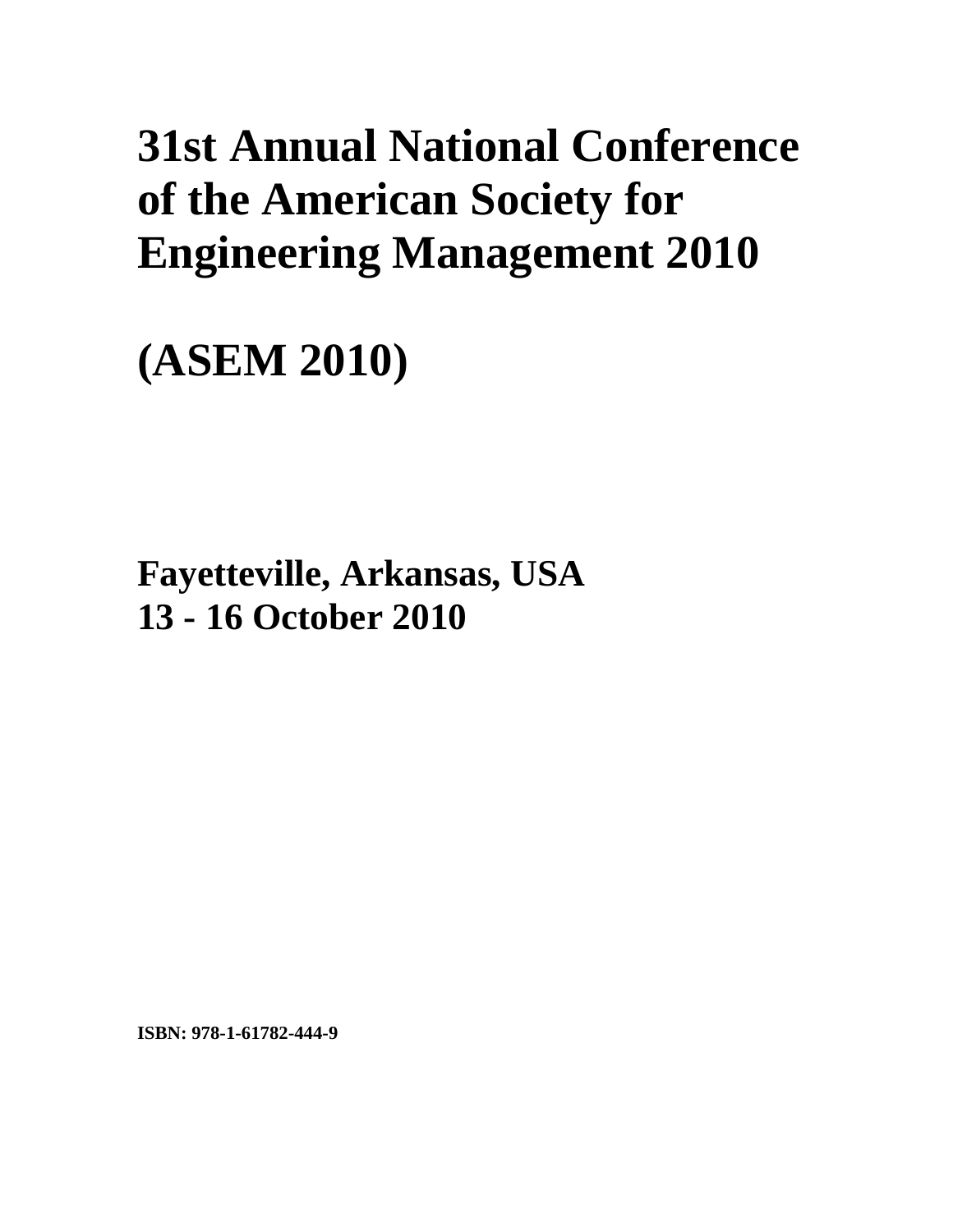# **31st Annual National Conference of the American Society for Engineering Management 2010**

**(ASEM 2010)** 

**Fayetteville, Arkansas, USA 13 - 16 October 2010**

**ISBN: 978-1-61782-444-9**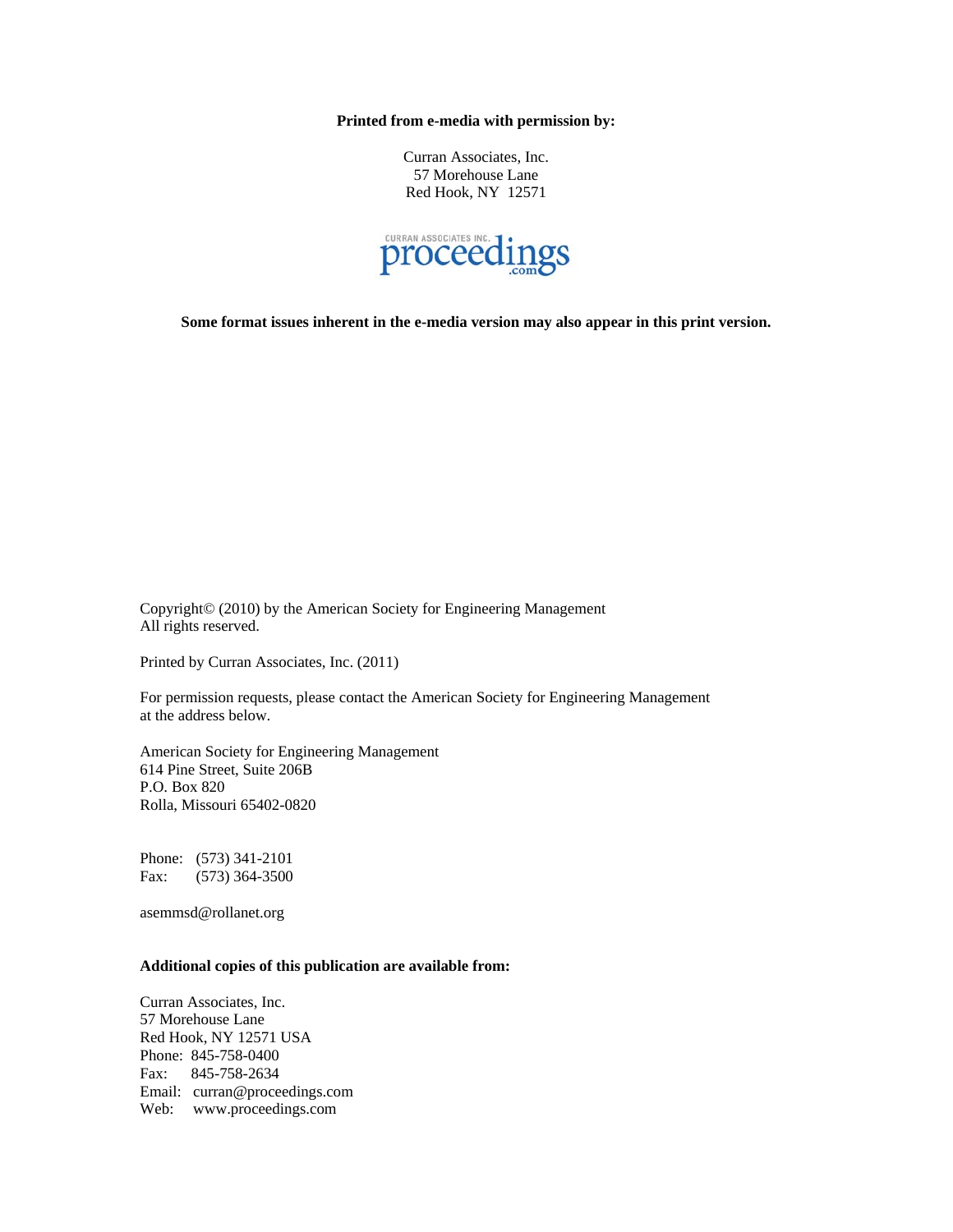**Printed from e-media with permission by:** 

Curran Associates, Inc. 57 Morehouse Lane Red Hook, NY 12571



**Some format issues inherent in the e-media version may also appear in this print version.** 

Copyright© (2010) by the American Society for Engineering Management All rights reserved.

Printed by Curran Associates, Inc. (2011)

For permission requests, please contact the American Society for Engineering Management at the address below.

American Society for Engineering Management 614 Pine Street, Suite 206B P.O. Box 820 Rolla, Missouri 65402-0820

Phone: (573) 341-2101 Fax: (573) 364-3500

asemmsd@rollanet.org

### **Additional copies of this publication are available from:**

Curran Associates, Inc. 57 Morehouse Lane Red Hook, NY 12571 USA Phone: 845-758-0400 Fax: 845-758-2634 Email: curran@proceedings.com Web: www.proceedings.com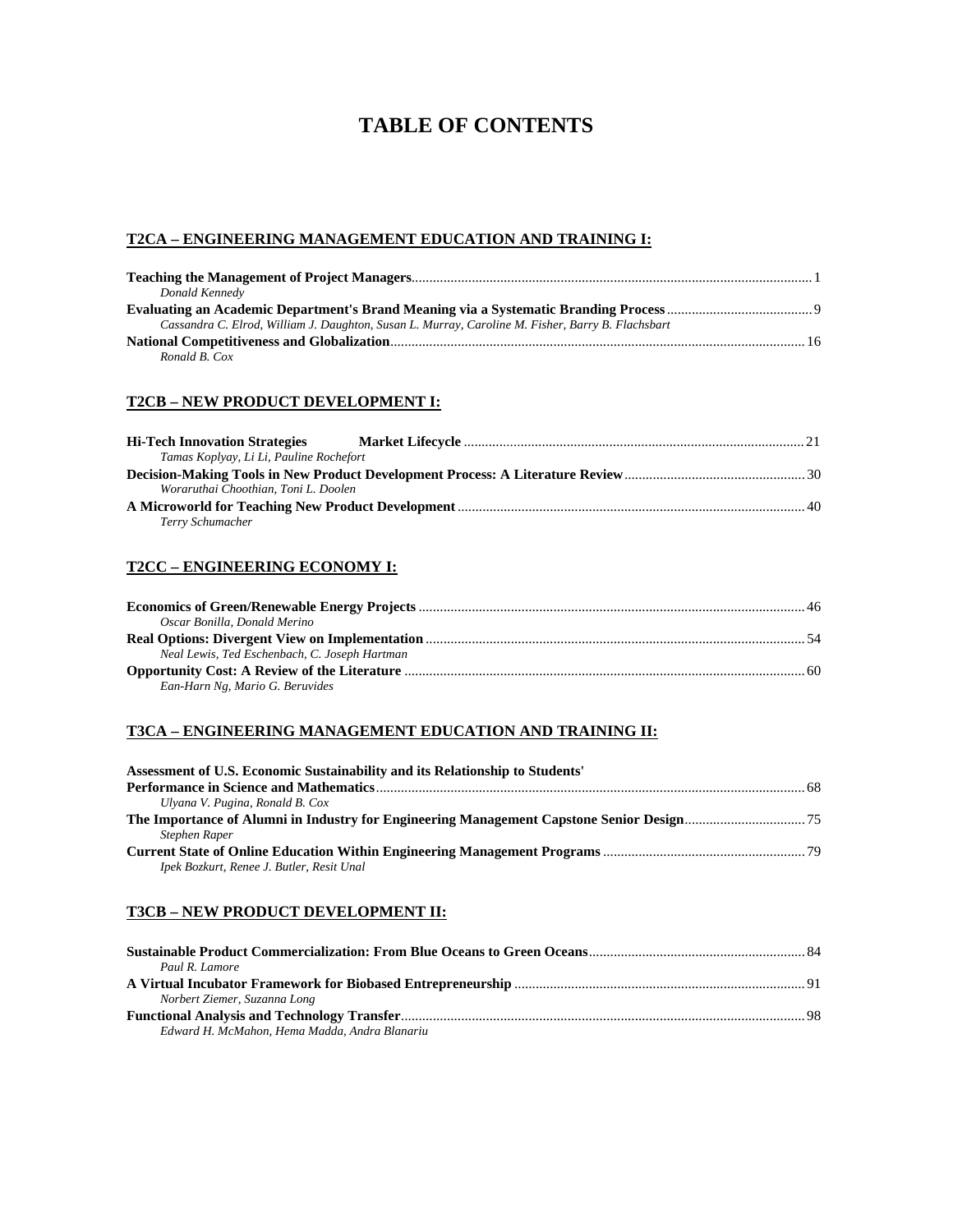# **TABLE OF CONTENTS**

#### **T2CA – ENGINEERING MANAGEMENT EDUCATION AND TRAINING I:**

| Donald Kennedy                                                                                    |  |
|---------------------------------------------------------------------------------------------------|--|
|                                                                                                   |  |
| Cassandra C. Elrod, William J. Daughton, Susan L. Murray, Caroline M. Fisher, Barry B. Flachsbart |  |
|                                                                                                   |  |
| Ronald B. Cox                                                                                     |  |

#### **T2CB – NEW PRODUCT DEVELOPMENT I:**

| <b>Hi-Tech Innovation Strategies</b>    |  |
|-----------------------------------------|--|
| Tamas Koplyay, Li Li, Pauline Rochefort |  |
|                                         |  |
| Woraruthai Choothian, Toni L. Doolen    |  |
|                                         |  |
| Terry Schumacher                        |  |

#### **T2CC – ENGINEERING ECONOMY I:**

| Oscar Bonilla, Donald Merino                  |  |
|-----------------------------------------------|--|
|                                               |  |
| Neal Lewis, Ted Eschenbach, C. Joseph Hartman |  |
|                                               |  |
| Ean-Harn Ng, Mario G. Beruvides               |  |

#### **T3CA – ENGINEERING MANAGEMENT EDUCATION AND TRAINING II:**

| Assessment of U.S. Economic Sustainability and its Relationship to Students' |  |
|------------------------------------------------------------------------------|--|
|                                                                              |  |
| Ulyana V. Pugina, Ronald B. Cox                                              |  |
|                                                                              |  |
| Stephen Raper                                                                |  |
|                                                                              |  |
| Ipek Bozkurt, Renee J. Butler, Resit Unal                                    |  |

#### **T3CB – NEW PRODUCT DEVELOPMENT II:**

| Paul R. Lamore                                |  |
|-----------------------------------------------|--|
|                                               |  |
| Norbert Ziemer, Suzanna Long                  |  |
|                                               |  |
| Edward H. McMahon, Hema Madda, Andra Blanariu |  |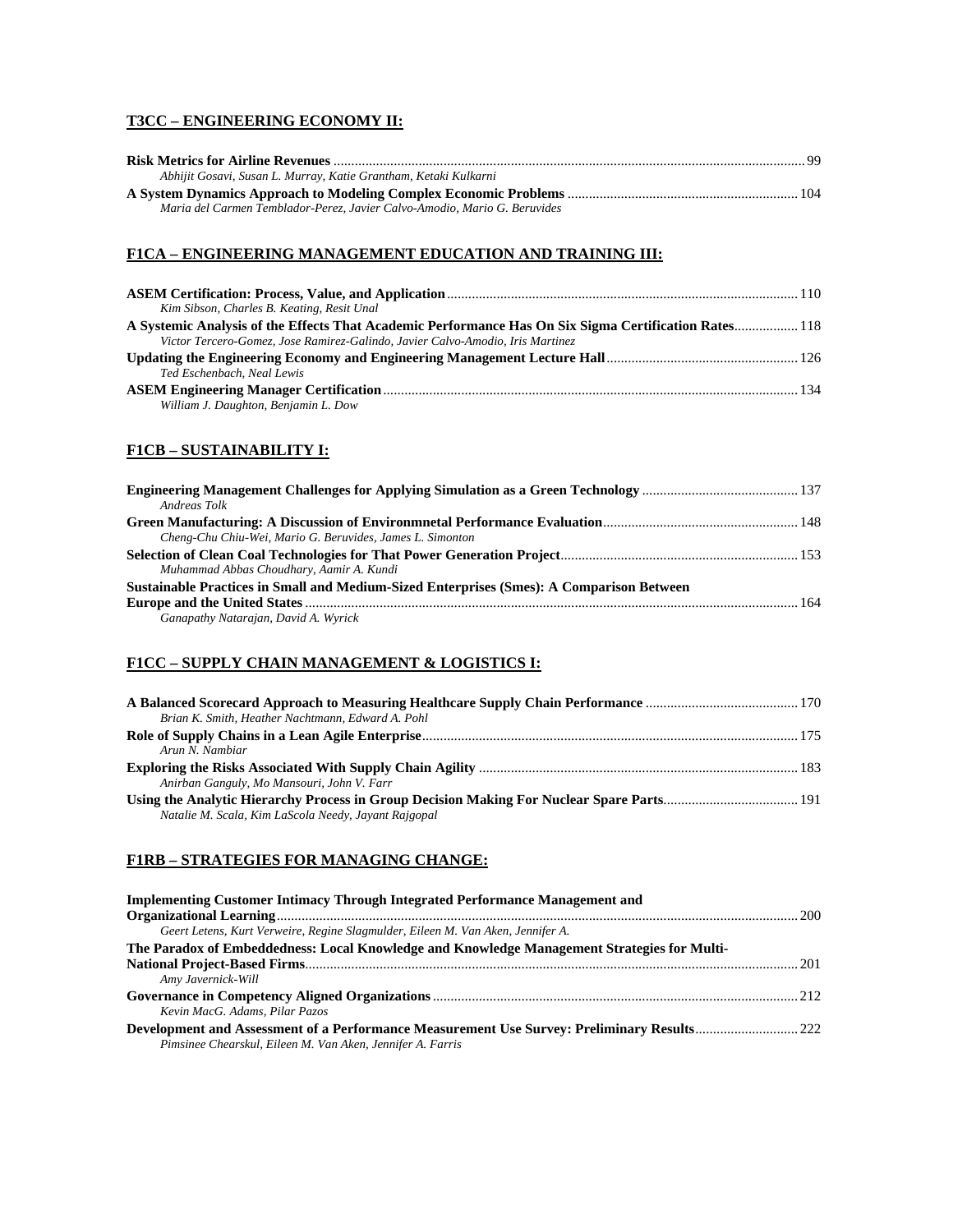# **T3CC – ENGINEERING ECONOMY II:**

| Abhijit Gosavi, Susan L. Murray, Katie Grantham, Ketaki Kulkarni          |  |
|---------------------------------------------------------------------------|--|
|                                                                           |  |
| Maria del Carmen Temblador-Perez, Javier Calvo-Amodio, Mario G. Beruvides |  |

#### **F1CA – ENGINEERING MANAGEMENT EDUCATION AND TRAINING III:**

| Kim Sibson, Charles B. Keating, Resit Unal                                                            |  |
|-------------------------------------------------------------------------------------------------------|--|
| A Systemic Analysis of the Effects That Academic Performance Has On Six Sigma Certification Rates 118 |  |
| Victor Tercero-Gomez, Jose Ramirez-Galindo, Javier Calvo-Amodio, Iris Martinez                        |  |
|                                                                                                       |  |
| Ted Eschenbach, Neal Lewis                                                                            |  |
|                                                                                                       |  |
| William J. Daughton, Benjamin L. Dow                                                                  |  |

# **F1CB – SUSTAINABILITY I:**

| Andreas Tolk                                                                             |  |
|------------------------------------------------------------------------------------------|--|
|                                                                                          |  |
| Cheng-Chu Chiu-Wei, Mario G. Beruvides, James L. Simonton                                |  |
|                                                                                          |  |
| Muhammad Abbas Choudhary, Aamir A. Kundi                                                 |  |
| Sustainable Practices in Small and Medium-Sized Enterprises (Smes): A Comparison Between |  |
|                                                                                          |  |
| Ganapathy Natarajan, David A. Wyrick                                                     |  |

# **F1CC – SUPPLY CHAIN MANAGEMENT & LOGISTICS I:**

| Brian K. Smith, Heather Nachtmann, Edward A. Pohl    |  |
|------------------------------------------------------|--|
|                                                      |  |
| Arun N. Nambiar                                      |  |
|                                                      |  |
| Anirban Ganguly, Mo Mansouri, John V. Farr           |  |
|                                                      |  |
| Natalie M. Scala, Kim LaScola Needy, Jayant Rajgopal |  |

# **F1RB – STRATEGIES FOR MANAGING CHANGE:**

| <b>Implementing Customer Intimacy Through Integrated Performance Management and</b>         |  |
|---------------------------------------------------------------------------------------------|--|
|                                                                                             |  |
| Geert Letens, Kurt Verweire, Regine Slagmulder, Eileen M. Van Aken, Jennifer A.             |  |
| The Paradox of Embeddedness: Local Knowledge and Knowledge Management Strategies for Multi- |  |
|                                                                                             |  |
| Amy Javernick-Will                                                                          |  |
|                                                                                             |  |
| Kevin MacG. Adams. Pilar Pazos                                                              |  |
|                                                                                             |  |
| Pimsinee Chearskul, Eileen M. Van Aken, Jennifer A. Farris                                  |  |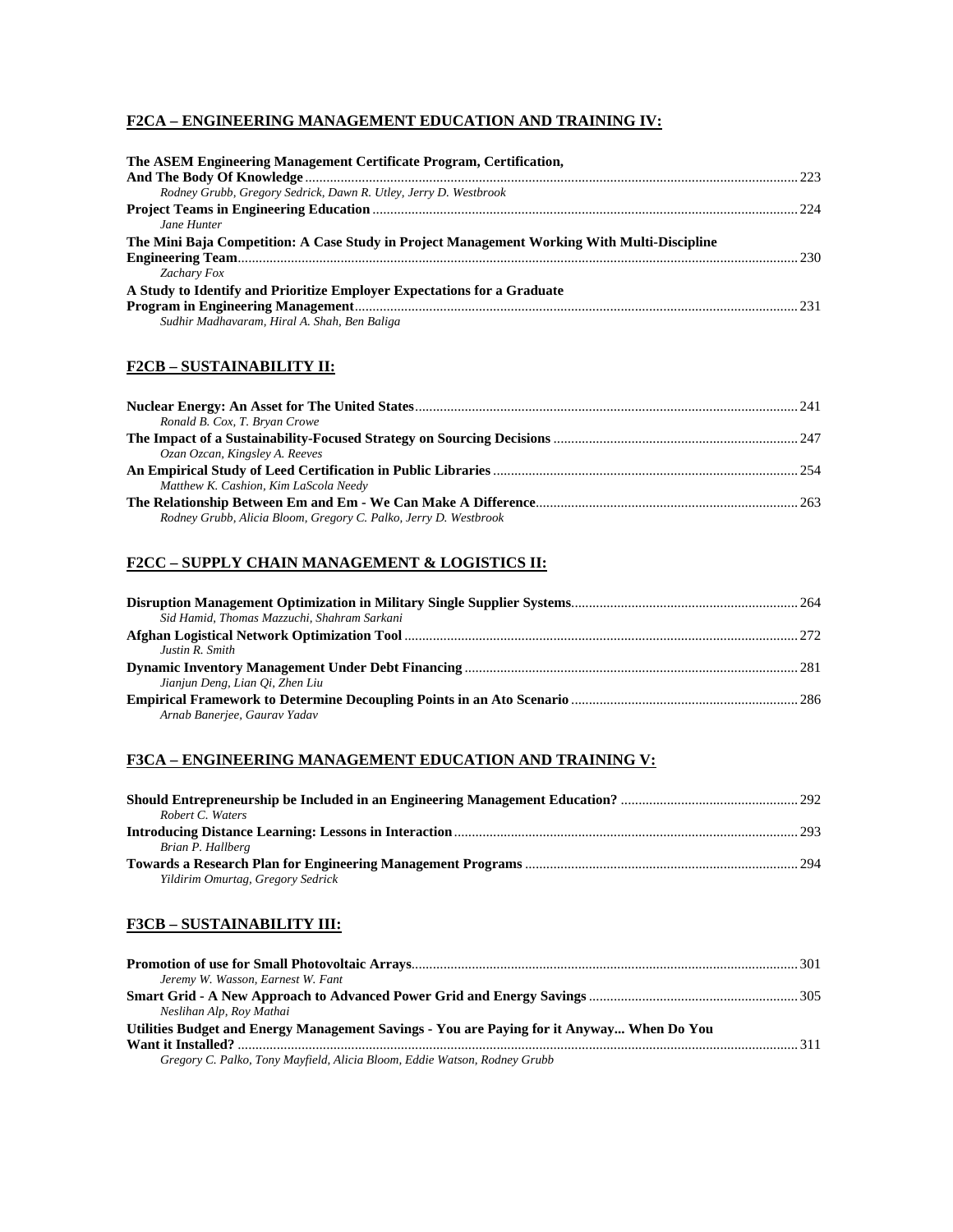#### **F2CA – ENGINEERING MANAGEMENT EDUCATION AND TRAINING IV:**

| The ASEM Engineering Management Certificate Program, Certification,                         |     |
|---------------------------------------------------------------------------------------------|-----|
|                                                                                             |     |
| Rodney Grubb, Gregory Sedrick, Dawn R. Utley, Jerry D. Westbrook                            |     |
|                                                                                             | 224 |
| Jane Hunter                                                                                 |     |
| The Mini Baja Competition: A Case Study in Project Management Working With Multi-Discipline |     |
|                                                                                             |     |
| Zachary Fox                                                                                 |     |
| A Study to Identify and Prioritize Employer Expectations for a Graduate                     |     |
|                                                                                             |     |
| Sudhir Madhavaram, Hiral A. Shah, Ben Baliga                                                |     |

### **F2CB – SUSTAINABILITY II:**

| Ronald B. Cox, T. Bryan Crowe                                    |  |
|------------------------------------------------------------------|--|
|                                                                  |  |
| Ozan Ozcan, Kingsley A. Reeves                                   |  |
|                                                                  |  |
| Matthew K. Cashion, Kim LaScola Needy                            |  |
|                                                                  |  |
| Rodney Grubb, Alicia Bloom, Gregory C. Palko, Jerry D. Westbrook |  |

#### **F2CC – SUPPLY CHAIN MANAGEMENT & LOGISTICS II:**

| Sid Hamid, Thomas Mazzuchi, Shahram Sarkani |  |
|---------------------------------------------|--|
|                                             |  |
| Justin R. Smith                             |  |
|                                             |  |
| Jianjun Deng, Lian Oi, Zhen Liu             |  |
|                                             |  |
| Arnab Banerjee, Gaurav Yadav                |  |

#### **F3CA – ENGINEERING MANAGEMENT EDUCATION AND TRAINING V:**

| Robert C. Waters                  |  |
|-----------------------------------|--|
|                                   |  |
| Brian P. Hallberg                 |  |
|                                   |  |
| Yildirim Omurtag, Gregory Sedrick |  |

### **F3CB – SUSTAINABILITY III:**

| Jeremy W. Wasson, Earnest W. Fant                                                         |  |
|-------------------------------------------------------------------------------------------|--|
|                                                                                           |  |
| Neslihan Alp, Roy Mathai                                                                  |  |
| Utilities Budget and Energy Management Savings - You are Paying for it Anyway When Do You |  |
|                                                                                           |  |
| Gregory C. Palko, Tony Mayfield, Alicia Bloom, Eddie Watson, Rodney Grubb                 |  |
|                                                                                           |  |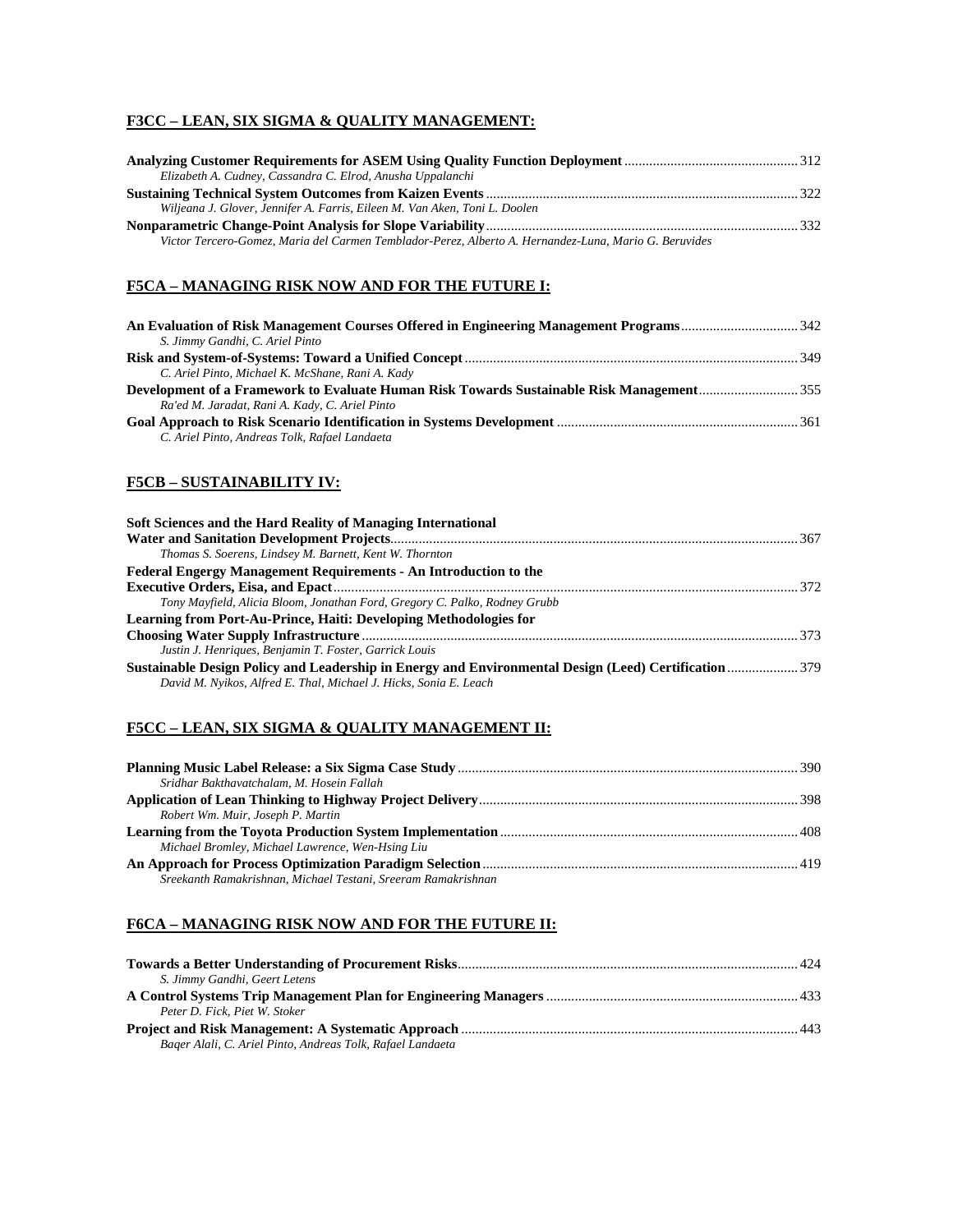# **F3CC – LEAN, SIX SIGMA & QUALITY MANAGEMENT:**

| Elizabeth A. Cudney, Cassandra C. Elrod, Anusha Uppalanchi                                            |  |
|-------------------------------------------------------------------------------------------------------|--|
|                                                                                                       |  |
| Wiljeana J. Glover, Jennifer A. Farris, Eileen M. Van Aken, Toni L. Doolen                            |  |
|                                                                                                       |  |
| Victor Tercero-Gomez, Maria del Carmen Temblador-Perez, Alberto A. Hernandez-Luna, Mario G. Beruvides |  |

#### **F5CA – MANAGING RISK NOW AND FOR THE FUTURE I:**

| S. Jimmy Gandhi, C. Ariel Pinto                                                          |  |
|------------------------------------------------------------------------------------------|--|
|                                                                                          |  |
| C. Ariel Pinto, Michael K. McShane, Rani A. Kady                                         |  |
| Development of a Framework to Evaluate Human Risk Towards Sustainable Risk Management355 |  |
| Ra'ed M. Jaradat, Rani A. Kady, C. Ariel Pinto                                           |  |
|                                                                                          |  |
| C. Ariel Pinto, Andreas Tolk, Rafael Landaeta                                            |  |

#### **F5CB – SUSTAINABILITY IV:**

| Soft Sciences and the Hard Reality of Managing International                                          |  |
|-------------------------------------------------------------------------------------------------------|--|
|                                                                                                       |  |
| Thomas S. Soerens, Lindsey M. Barnett, Kent W. Thornton                                               |  |
| <b>Federal Engergy Management Requirements - An Introduction to the</b>                               |  |
|                                                                                                       |  |
| Tony Mayfield, Alicia Bloom, Jonathan Ford, Gregory C. Palko, Rodney Grubb                            |  |
| Learning from Port-Au-Prince, Haiti: Developing Methodologies for                                     |  |
|                                                                                                       |  |
| Justin J. Henriques, Benjamin T. Foster, Garrick Louis                                                |  |
| Sustainable Design Policy and Leadership in Energy and Environmental Design (Leed) Certification  379 |  |
| David M. Nyikos, Alfred E. Thal, Michael J. Hicks, Sonia E. Leach                                     |  |

# **F5CC – LEAN, SIX SIGMA & QUALITY MANAGEMENT II:**

| Sridhar Bakthavatchalam, M. Hosein Fallah                     |  |
|---------------------------------------------------------------|--|
|                                                               |  |
| Robert Wm. Muir, Joseph P. Martin                             |  |
|                                                               |  |
| Michael Bromley, Michael Lawrence, Wen-Hsing Liu              |  |
|                                                               |  |
| Sreekanth Ramakrishnan, Michael Testani, Sreeram Ramakrishnan |  |

# **F6CA – MANAGING RISK NOW AND FOR THE FUTURE II:**

| S. Jimmy Gandhi, Geert Letens                              |  |
|------------------------------------------------------------|--|
|                                                            |  |
| Peter D. Fick, Piet W. Stoker                              |  |
|                                                            |  |
| Bager Alali, C. Ariel Pinto, Andreas Tolk, Rafael Landaeta |  |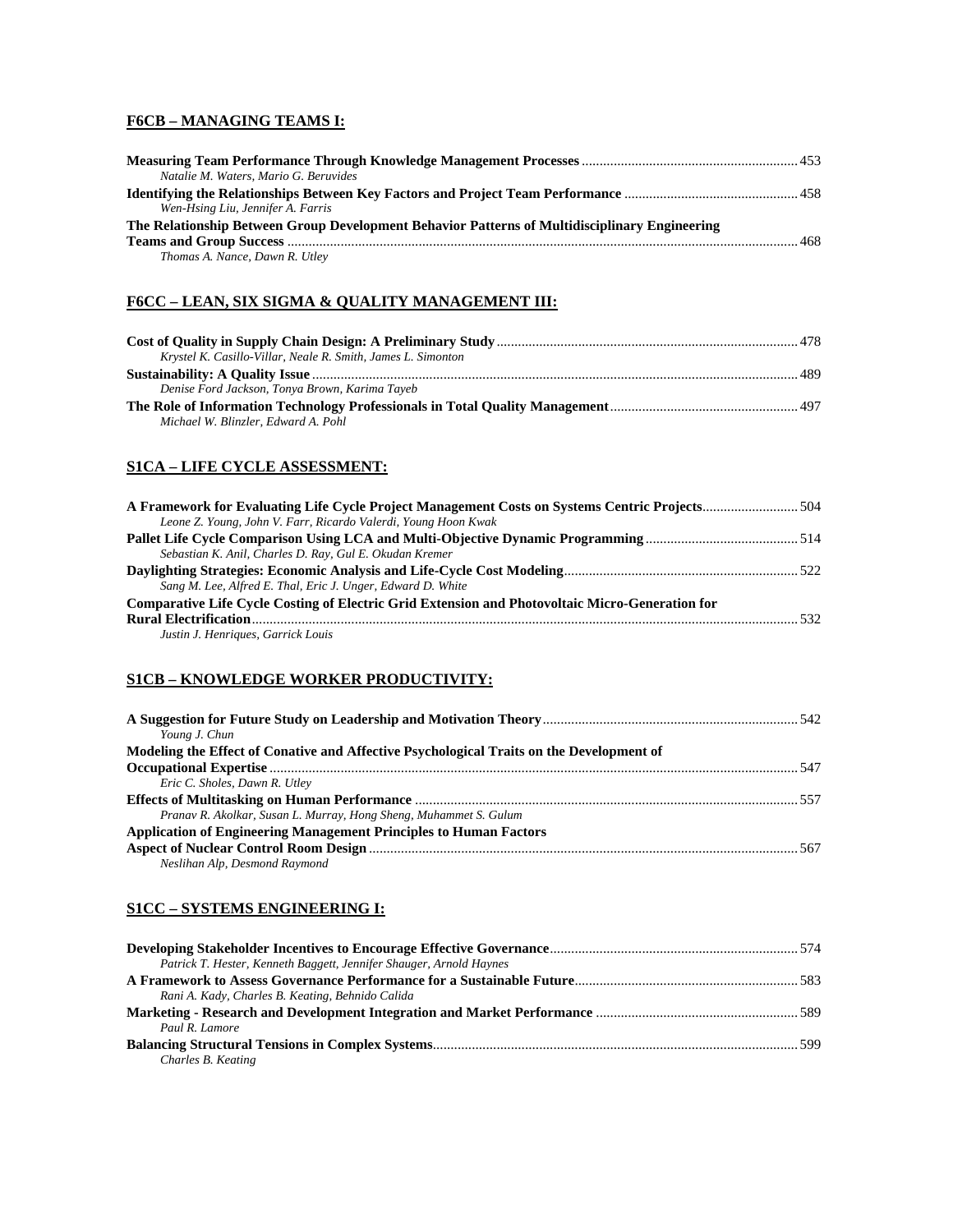# **F6CB – MANAGING TEAMS I:**

| Natalie M. Waters, Mario G. Beruvides                                                         |     |
|-----------------------------------------------------------------------------------------------|-----|
|                                                                                               |     |
| Wen-Hsing Liu, Jennifer A. Farris                                                             |     |
| The Relationship Between Group Development Behavior Patterns of Multidisciplinary Engineering |     |
|                                                                                               | 468 |
| Thomas A. Nance, Dawn R. Utley                                                                |     |

#### **F6CC – LEAN, SIX SIGMA & QUALITY MANAGEMENT III:**

| Krystel K. Casillo-Villar, Neale R. Smith, James L. Simonton |  |
|--------------------------------------------------------------|--|
|                                                              |  |
| Denise Ford Jackson, Tonya Brown, Karima Tayeb               |  |
|                                                              |  |
| Michael W. Blinzler, Edward A. Pohl                          |  |

### **S1CA – LIFE CYCLE ASSESSMENT:**

| Leone Z. Young, John V. Farr, Ricardo Valerdi, Young Hoon Kwak                                  |     |
|-------------------------------------------------------------------------------------------------|-----|
|                                                                                                 |     |
| Sebastian K. Anil, Charles D. Ray, Gul E. Okudan Kremer                                         |     |
|                                                                                                 |     |
| Sang M. Lee, Alfred E. Thal, Eric J. Unger, Edward D. White                                     |     |
| Comparative Life Cycle Costing of Electric Grid Extension and Photovoltaic Micro-Generation for |     |
|                                                                                                 | 532 |
| Justin J. Henriques, Garrick Louis                                                              |     |

#### **S1CB – KNOWLEDGE WORKER PRODUCTIVITY:**

| Young J. Chun                                                                            |  |
|------------------------------------------------------------------------------------------|--|
| Modeling the Effect of Conative and Affective Psychological Traits on the Development of |  |
|                                                                                          |  |
| Eric C. Sholes, Dawn R. Utley                                                            |  |
|                                                                                          |  |
| Pranav R. Akolkar, Susan L. Murray, Hong Sheng, Muhammet S. Gulum                        |  |
| <b>Application of Engineering Management Principles to Human Factors</b>                 |  |
| Neslihan Alp, Desmond Raymond                                                            |  |
|                                                                                          |  |

### **S1CC – SYSTEMS ENGINEERING I:**

| Patrick T. Hester, Kenneth Baggett, Jennifer Shauger, Arnold Haynes |  |
|---------------------------------------------------------------------|--|
|                                                                     |  |
| Rani A. Kady, Charles B. Keating, Behnido Calida                    |  |
|                                                                     |  |
| Paul R. Lamore                                                      |  |
|                                                                     |  |
| Charles B. Keating                                                  |  |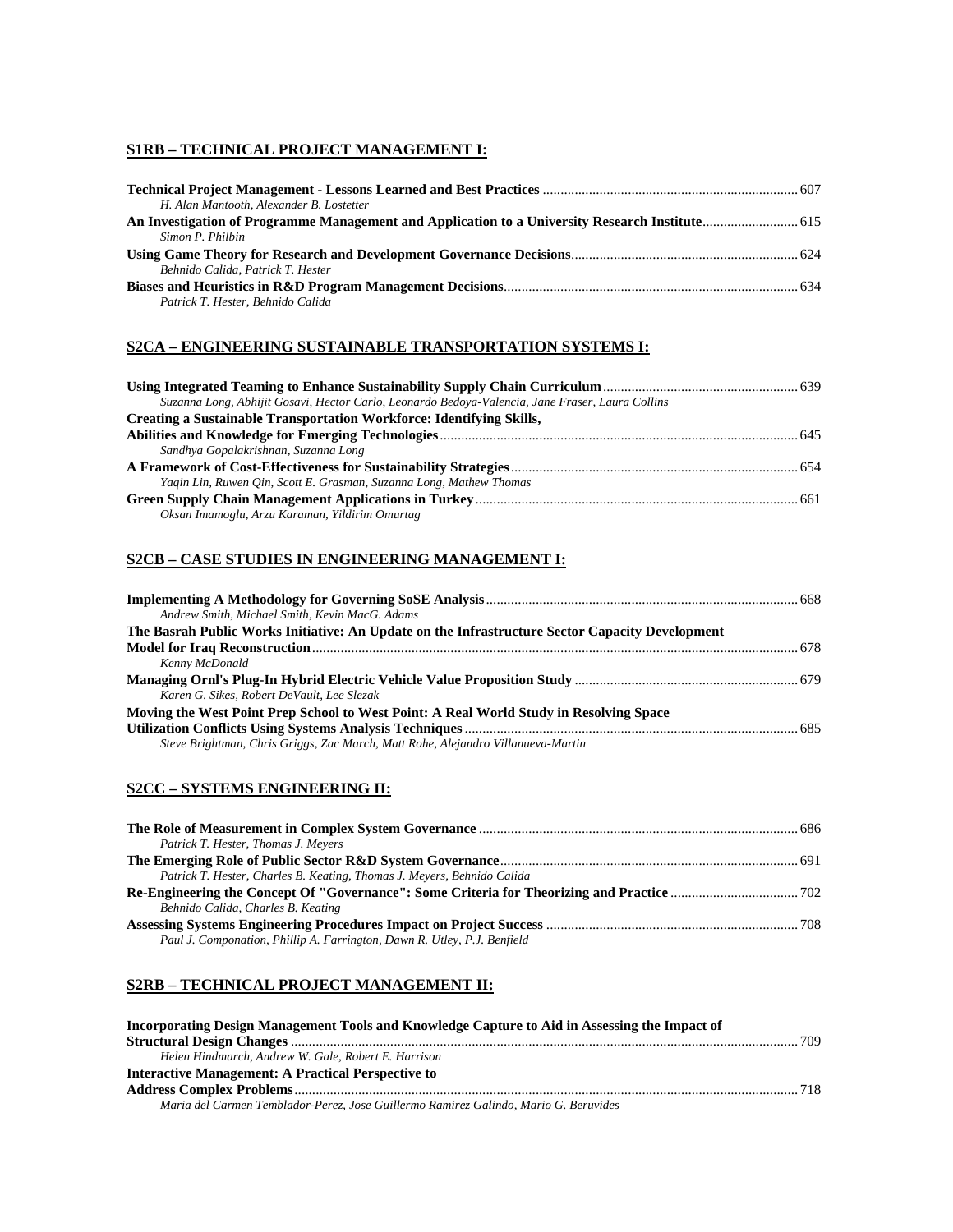#### **S1RB – TECHNICAL PROJECT MANAGEMENT I:**

| H. Alan Mantooth, Alexander B. Lostetter |  |
|------------------------------------------|--|
|                                          |  |
| Simon P. Philbin                         |  |
|                                          |  |
| Behnido Calida, Patrick T. Hester        |  |
|                                          |  |
| Patrick T. Hester, Behnido Calida        |  |

#### **S2CA – ENGINEERING SUSTAINABLE TRANSPORTATION SYSTEMS I:**

| Suzanna Long, Abhijit Gosavi, Hector Carlo, Leonardo Bedoya-Valencia, Jane Fraser, Laura Collins |  |
|--------------------------------------------------------------------------------------------------|--|
| Creating a Sustainable Transportation Workforce: Identifying Skills,                             |  |
|                                                                                                  |  |
| Sandhya Gopalakrishnan, Suzanna Long                                                             |  |
|                                                                                                  |  |
| Yaqin Lin, Ruwen Qin, Scott E. Grasman, Suzanna Long, Mathew Thomas                              |  |
|                                                                                                  |  |
| Oksan Imamoglu, Arzu Karaman, Yildirim Omurtag                                                   |  |

## **S2CB – CASE STUDIES IN ENGINEERING MANAGEMENT I:**

| Andrew Smith, Michael Smith, Kevin MacG. Adams                                                  |  |
|-------------------------------------------------------------------------------------------------|--|
| The Basrah Public Works Initiative: An Update on the Infrastructure Sector Capacity Development |  |
|                                                                                                 |  |
| Kenny McDonald                                                                                  |  |
|                                                                                                 |  |
| Karen G. Sikes, Robert DeVault, Lee Slezak                                                      |  |
| Moving the West Point Prep School to West Point: A Real World Study in Resolving Space          |  |
|                                                                                                 |  |
| Steve Brightman, Chris Griggs, Zac March, Matt Rohe, Alejandro Villanueva-Martin                |  |

### **S2CC – SYSTEMS ENGINEERING II:**

| Patrick T. Hester, Thomas J. Meyers                                      |  |
|--------------------------------------------------------------------------|--|
|                                                                          |  |
| Patrick T. Hester, Charles B. Keating, Thomas J. Meyers, Behnido Calida  |  |
|                                                                          |  |
| Behnido Calida, Charles B. Keating                                       |  |
|                                                                          |  |
| Paul J. Componation, Phillip A. Farrington, Dawn R. Utley, P.J. Benfield |  |

#### **S2RB – TECHNICAL PROJECT MANAGEMENT II:**

| Incorporating Design Management Tools and Knowledge Capture to Aid in Assessing the Impact of |  |
|-----------------------------------------------------------------------------------------------|--|
|                                                                                               |  |
| Helen Hindmarch, Andrew W. Gale, Robert E. Harrison                                           |  |
| Interactive Management: A Practical Perspective to                                            |  |
|                                                                                               |  |
| Maria del Carmen Temblador-Perez, Jose Guillermo Ramirez Galindo, Mario G. Beruvides          |  |